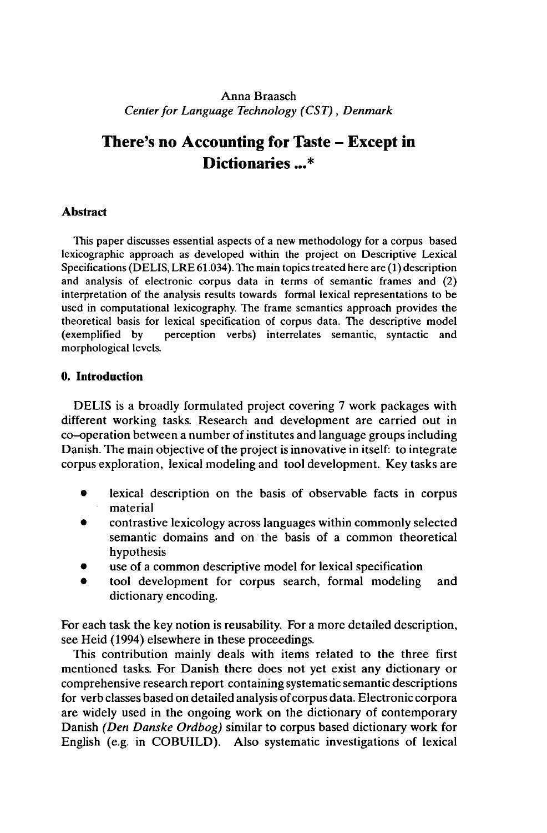# Anna Braasch *Centerfor Language Technology (CST), Denmark*

# **There's no Accounting for Taste - Except in Dictionaries ...\***

# **Abstract**

This paper discusses essential aspects of a new methodology for a corpus based lexicographic approach as developed within the project on Descriptive Lexical Specifications (DELIS, LRE 61.034). The main topics treated here are (1) description and analysis of electronic corpus data in terms of semantic frames and (2) interpretation of the analysis results towards formal lexical representations to be used in computational lexicography. The frame semantics approach provides the theoretical basis for lexical specification of corpus data. The descriptive model<br>(exemplified by perception verbs) interrelates semantic, syntactic and perception verbs) interrelates semantic, syntactic and morphological levels.

## **0. Introduction**

DELIS is a broadly formulated project covering 7 work packages with different working tasks. Research and development are carried out in co-operation between a number of institutes and language groups including Danish. The main objective of the project is innovative in itself: to integrate corpus exploration, lexical modeling and tool development. Key tasks are

- lexical description on the basis of observable facts in corpus material
- contrastive lexicology across languages within commonly selected semantic domains and on the basis of a common theoretical hypothesis
- use of a common descriptive model for lexical specification
- tool development for corpus search, formal modeling and dictionary encoding.

For each task the key notion is reusability. For a more detailed description, see Heid (1994) elsewhere in these proceedings.

This contribution mainly deals with items related to the three first mentioned tasks. For Danish there does not yet exist any dictionary or comprehensive research report containing systematic semantic descriptions for verb classes based on detailed analysis of corpus data. Electronic corpora are widely used in the ongoing work on the dictionary of contemporary Danish *(Den Danske Ordbog)* similar to corpus based dictionary work for English (e.g. in COBUILD). Also systematic investigations of lexical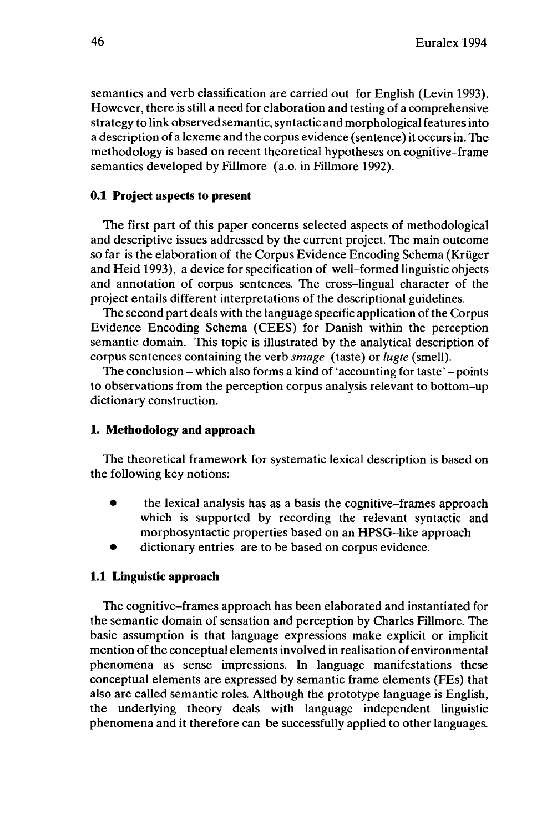semantics and verb classification are carried out for English (Levin 1993). However, there is still a need for elaboration and testing of a comprehensive strategy to link observed semantic,syntactic and morphological features into a description of a lexeme and the corpus evidence (sentence) it occurs in. The methodology is based on recent theoretical hypotheses on cognitive-frame semantics developed by Fillmore (a.o. in Fillmore 1992).

## **0.1 Project aspects to present**

The first part of this paper concerns selected aspects of methodological and descriptive issues addressed by the current project. The main outcome so far is the elaboration of the Corpus Evidence Encoding Schema (Krüger and Heid 1993), a device for specification of well-formed linguistic objects and annotation of corpus sentences. The cross-lingual character of the project entails different interpretations of the descriptional guidelines.

The second part deals with the language specific application of the Corpus Evidence Encoding Schema (CEES) for Danish within the perception semantic domain. This topic is illustrated by the analytical description of corpus sentences containing the verb *smage* (taste) or *lugte* (smell).

The conclusion – which also forms a kind of 'accounting for taste' – points to observations from the perception corpus analysis relevant to bottom-up dictionary construction.

## **1. Methodology and approach**

The theoretical framework for systematic lexical description is based on the following key notions:

- the lexical analysis has as <sup>a</sup> basis the cognitive-frames approach which is supported by recording the relevant syntactic and morphosyntactic properties based on an HPSG-like approach
- dictionary entries are to be based on corpus evidence.

#### **1.1 Linguistic approach**

The cognitive-frames approach has been elaborated and instantiated for the semantic domain of sensation and perception by Charles Fillmore. The basic assumption is that language expressions make explicit or implicit mention of the conceptual elements involved in realisation of environmental phenomena as sense impressions. In language manifestations these conceptual elements are expressed by semantic frame elements (FEs) that also are called semantic roles. Although the prototype language is English, the underlying theory deals with language independent linguistic phenomena and it therefore can be successfully applied to other languages.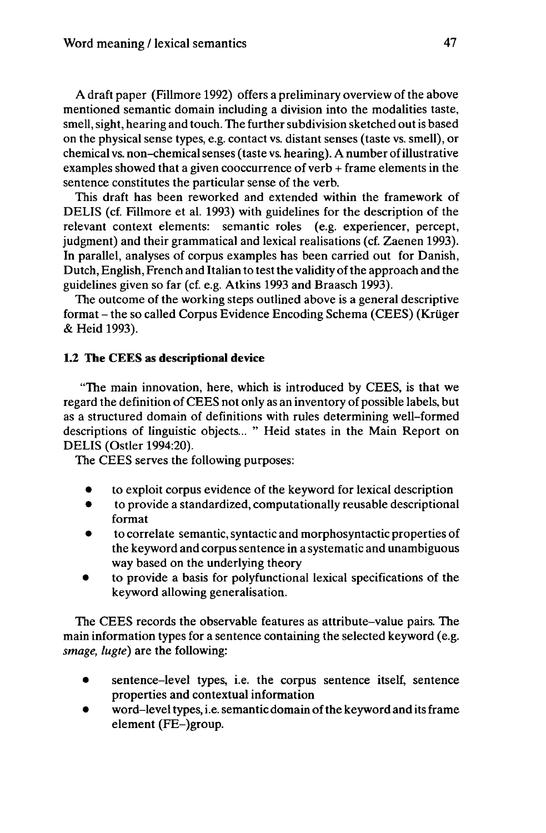A draft paper (Fillmore 1992) offers a preliminary overview of the above mentioned semantic domain including a division into the modalities taste, smell, sight, hearing and touch. The further subdivision sketched out is based on the physical sense types, e.g. contact vs. distant senses (taste vs. smell), or chemical vs. non-chemicalsenses (taste vs. hearing). A number ofillustrative examples showed that a given cooccurrence of verb + frame elements in the sentence constitutes the particular sense of the verb.

This draft has been reworked and extended within the framework of DELIS (cf. Fillmore et al. 1993) with guidelines for the description of the relevant context elements: semantic roles (e.g. experiencer, percept, judgment) and their grammatical and lexical realisations (cf. Zaenen 1993). In parallel, analyses of corpus examples has been carried out for Danish, Dutch, English, French and Italian to test the validity of the approach and the guidelines given so far (cf. e.g. Atkins 1993 and Braasch 1993).

The outcome of the working steps outlined above is a general descriptive format - the so called Corpus Evidence Encoding Schema (CEES) (Krüger & Heid 1993).

# **1.2 The CEES as descriptional device**

"The main innovation, here, which is introduced by CEES, is that we regard the definition of CEES not only as an inventory of possible labels, but as a structured domain of definitions with rules determining well-formed descriptions of linguistic objects... " Heid states in the Main Report on DELIS (Ostler 1994:20).

The CEES serves the following purposes:

- to exploit corpus evidence of the keyword for lexical description
- to provide a standardized, computationally reusable descriptional format
- to correlate semantic, syntactic and morphosyntactic properties of the keyword and corpus sentence in a systematic and unambiguous way based on the underlying theory
- to provide a basis for polyfunctional lexical specifications of the keyword allowing generalisation.

The CEES records the observable features as attribute-value pairs. The main information types for a sentence containing the selected keyword (e.g. *smage, lugte)* are the following:

- sentence-level types, i.e. the corpus sentence itself, sentence properties and contextual information
- $\bullet$  word-level types, i.e. semantic domain of the keyword and its frame element (FE-)group.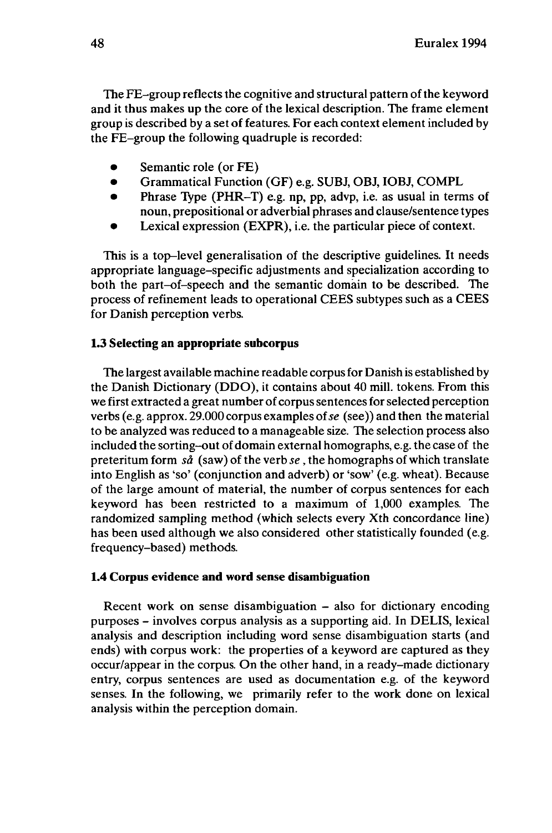The FE-group reflects the cognitive and structural pattern ofthe keyword and it thus makes up the core of the lexical description. The frame element group is described by a set of features. For each context element included by the FE-group the following quadruple is recorded:

- Semantic role (or FE)
- Grammatical Function (GF) e.g. SUBJ, OBJ, IOBJ, COMPL<br>• Phrase Tyne (PHR-T) e.g. np. np. advn. i.e. as usual in term
- Phrase Type (PHR-T) e.g. np, pp, advp, i.e. as usual in terms of noun, prepositional or adverbial phrases and clause/sentence types
- Lexical expression (EXPR), i.e. the particular piece of context.

This is a top-level generalisation of the descriptive guidelines. It needs appropriate language-specific adjustments and specialization according to both the part-of-speech and the semantic domain to be described. The process of refinement leads to operational CEES subtypes such as a CEES for Danish perception verbs.

### **1.3 Selecting an appropriate subcorpus**

The largest available machine readable corpusfor Danish is established by the Danish Dictionary (DDO), it contains about 40 mill, tokens. From this we first extracted a great number of corpussentencesforselected perception verbs (e.g. approx. 29.000 corpus examples of*se* (see)) and then the material to be analyzed was reduced to a manageable size. The selection process also included the sorting-out of domain external homographs, e.g. the case of the preteritum form *sa* (saw) of the verb *se,* the homographs of which translate into English as 'so' (conjunction and adverb) or 'sow' (e.g. wheat). Because of the large amount of material, the number of corpus sentences for each keyword has been restricted to a maximum of 1,000 examples. The randomized sampling method (which selects every Xth concordance line) has been used although we also considered other statistically founded (e.g. frequency-based) methods.

#### **1.4 Corpus evidence and word sense disambiguation**

Recent work on sense disambiguation – also for dictionary encoding purposes - involves corpus analysis as <sup>a</sup> supporting aid. In DELIS, lexical analysis and description including word sense disambiguation starts (and ends) with corpus work: the properties of a keyword are captured as they occur/appear in the corpus. On the other hand, in a ready-made dictionary entry, corpus sentences are used as documentation e.g. of the keyword senses. In the following, we primarily refer to the work done on lexical analysis within the perception domain.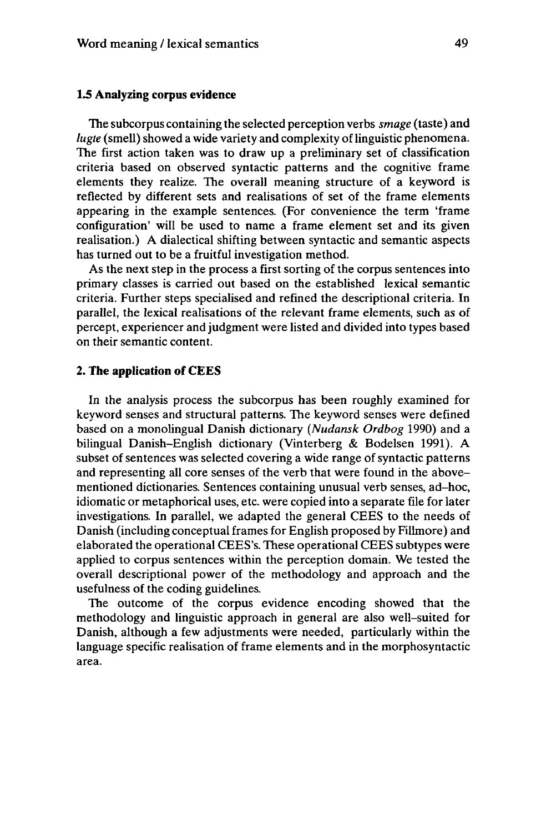### **1.5 Analyzing corpus evidence**

The subcorpus containing the selected perception verbs *smage* (taste) and *lugte* (smell) showed a wide variety and complexity of linguistic phenomena. The first action taken was to draw up a preliminary set of classification criteria based on observed syntactic patterns and the cognitive frame elements they realize. The overall meaning structure of a keyword is reflected by different sets and realisations of set of the frame elements appearing in the example sentences. (For convenience the term 'frame configuration' will be used to name a frame element set and its given realisation.) A dialectical shifting between syntactic and semantic aspects has turned out to be a fruitful investigation method.

As the next step in the process a first sorting of the corpus sentences into primary classes is carried out based on the established lexical semantic criteria. Further steps specialised and refined the descriptional criteria. In parallel, the lexical realisations of the relevant frame elements, such as of percept, experiencer and judgment were listed and divided into types based on their semantic content.

#### **2. The application of CEES**

In the analysis process the subcorpus has been roughly examined for keyword senses and structural patterns. The keyword senses were defined based on a monolingual Danish dictionary *(Nudansk Ordbog* 1990) and a bilingual Danish-English dictionary (Vinterberg & Bodelsen 1991). A subset of sentences was selected covering a wide range of syntactic patterns and representing all core senses of the verb that were found in the abovementioned dictionaries. Sentences containing unusual verb senses, ad-hoc, idiomatic or metaphorical uses, etc. were copied into a separate file for later investigations. In parallel, we adapted the general CEES to the needs of Danish (including conceptual frames for English proposed by Fillmore) and elaborated the operational CEES's. These operational CEES subtypes were applied to corpus sentences within the perception domain. We tested the overall descriptional power of the methodology and approach and the usefulness of the coding guidelines.

The outcome of the corpus evidence encoding showed that the methodology and linguistic approach in general are also well-suited for Danish, although a few adjustments were needed, particularly within the language specific realisation of frame elements and in the morphosyntactic area.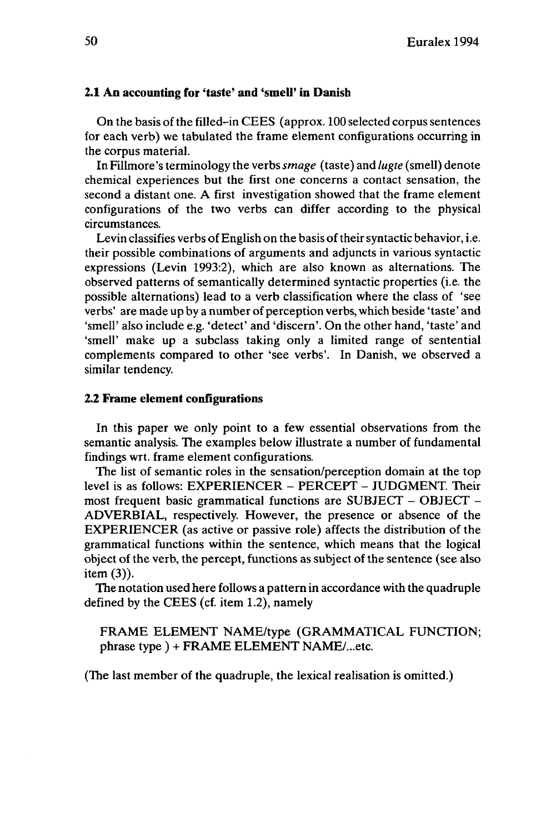### **2.1 An accounting for 'taste' and 'smell' in Danish**

On the basis of the filled-in CEES (approx. 100 selected corpus sentences for each verb) we tabulated the frame element configurations occurring in the corpus material.

In Fillmore's terminology the verbs*smage* (taste) and *lugte* (smell) denote chemical experiences but the first one concerns a contact sensation, the second a distant one. A first investigation showed that the frame element configurations of the two verbs can differ according to the physical circumstances.

Levin classifies verbs of English on the basis of their syntactic behavior, i.e. their possible combinations of arguments and adjuncts in various syntactic expressions (Levin 1993:2), which are also known as alternations. The observed patterns of semantically determined syntactic properties (i.e. the possible alternations) lead to a verb classification where the class of 'see verbs' are made up by a number of perception verbs, which beside 'taste' and 'smell' also include e.g. 'detect' and 'discern'. On the other hand, 'taste' and 'smell' make up a subclass taking only a limited range of sentential complements compared to other 'see verbs'. In Danish, we observed a similar tendency.

#### **2.2 Frame element configurations**

In this paper we only point to a few essential observations from the semantic analysis. The examples below illustrate a number of fundamental findings wrt. frame element configurations.

The list of semantic roles in the sensation/perception domain at the top level is as follows: EXPERIENCER - PERCEPT - JUDGMENT. Their most frequent basic grammatical functions are SUBJECT - OBJECT - ADVERBIAL, respectively. However, the presence or absence of the EXPERIENCER (as active or passive role) affects the distribution of the grammatical functions within the sentence, which means that the logical object of the verb, the percept, functions as subject of the sentence (see also item (3)).

The notation used here follows a pattern in accordance with the quadruple defined by the CEES (cf. item 1.2), namely

FRAME ELEMENT NAME/type (GRAMMATICAL FUNCTION; phrase type ) + FRAME ELEMENT NAME/...etc.

(The last member of the quadruple, the lexical realisation is omitted.)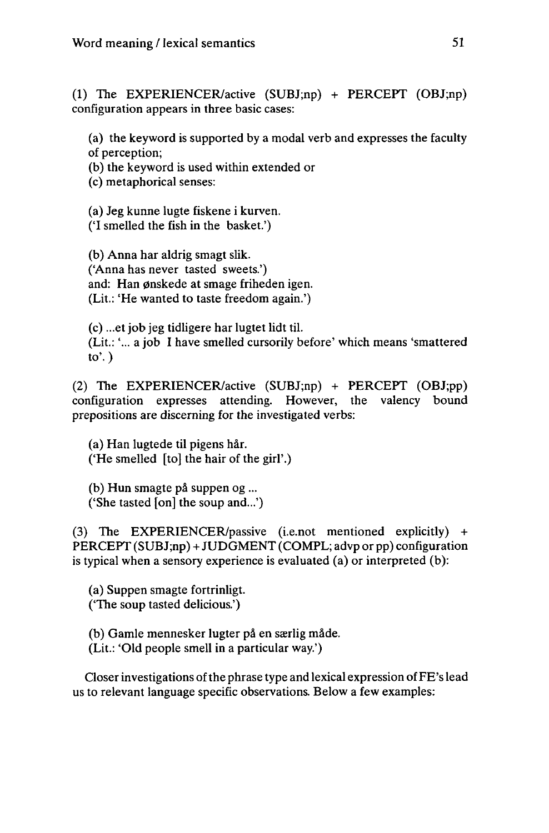(1) The EXPERIENCER/active (SUBJ;np) + PERCEPT (OBJ;np) configuration appears in three basic cases:

(a) the keyword is supported by a modal verb and expresses the faculty of perception;

(b) the keyword is used within extended or

(c) metaphorical senses:

(a) Jeg kunne lugte fiskene i kurven.

('I smelled the fish in the basket.')

(b) Anna har aldrig smagt slik. ('Anna has never tasted sweets.') and: Han ønskede at smage friheden igen. (Lit.: 'He wanted to taste freedom again.')

(c) ...et job jeg tidligere har lugtet lidt til. (Lit.: '... a job I have smelled cursorily before' which means 'smattered to'.)

(2) The EXPERIENCER/active (SUBJ;np) + PERCEPT (OBJ;pp) configuration expresses attending. However, the valency bound prepositions are discerning for the investigated verbs:

(a) Han lugtede til pigens hâr. ('He smelled [to] the hair of the girl'.)

(b) Hun smagte pâ suppen og ... ('She tasted [on] the soup and...')

(3) The EXPERIENCER/passive (i.e.not mentioned explicitly) + PERCEPT (SUBJ;np) + JUDGMENT (COMPL; advp or pp) configuration is typical when a sensory experience is evaluated (a) or interpreted (b):

(a) Suppen smagte fortrinligt. ('The soup tasted delicious.')

(b) Gamle mennesker lugter på en særlig måde.

(Lit.: 'Old people smell in a particular way.')

Closer investigations of the phrase type and lexical expression of FE's lead us to relevant language specific observations. Below a few examples: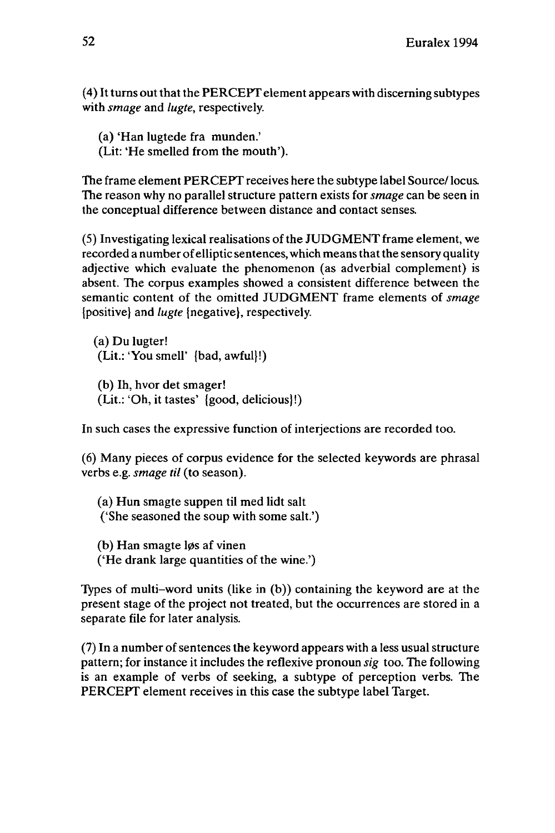(4) It turns out that the PERCEPT element appears with discerning subtypes with *smage* and *lugte,* respectively.

(a) 'Han lugtede fra munden.' (Lit: 'He smelled from the mouth').

The frame element PERCEPT receives here the subtype label Source/locus. The reason why no parallel structure pattern exists for *smage* can be seen in the conceptual difference between distance and contact senses.

(5) Investigating lexical realisations of the JUDGMENT frame element, we recorded a number of elliptic sentences, which means that the sensory quality adjective which evaluate the phenomenon (as adverbial complement) is absent. The corpus examples showed a consistent difference between the semantic content of the omitted JUDGMENT frame elements of *smage* {positive) and *lugte* {negative}, respectively.

(a) Du lugter! (Lit.:'You smell' {bad, awful}!)

(b) Ih, hvor det smager! (Lit.: 'Oh, it tastes' {good, delicious}!)

In such cases the expressive function of interjections are recorded too.

(6) Many pieces of corpus evidence for the selected keywords are phrasal verbs e.g. *smage til* (to season).

(a) Hun smagte suppen til med lidt salt ('She seasoned the soup with some salt.')

(b) Han smagte løs af vinen ('He drank large quantities of the wine.')

Types of multi-word units (like in (b)) containing the keyword are at the present stage of the project not treated, but the occurrences are stored in a separate file for later analysis.

 $(7)$  In a number of sentences the keyword appears with a less usual structure pattern; for instance it includes the reflexive pronoun *sig* too. The following is an example of verbs of seeking, a subtype of perception verbs. The PERCEPT element receives in this case the subtype label Target.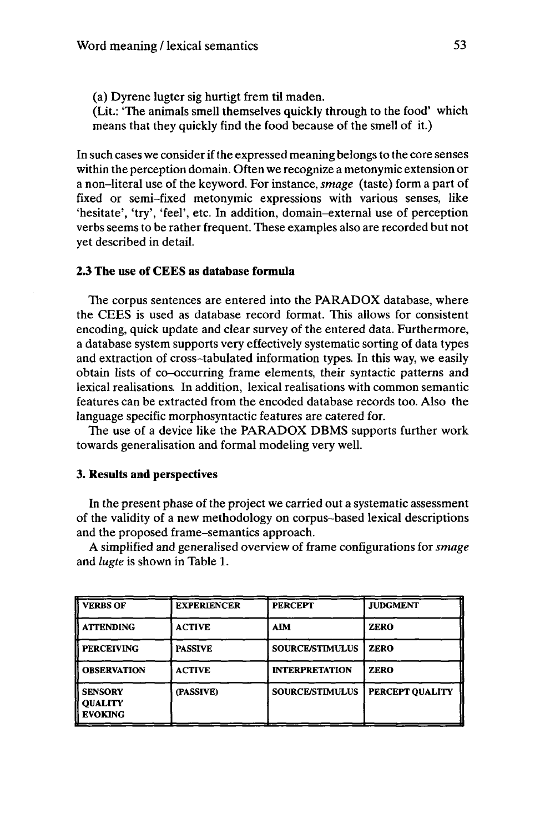(a) Dyrene lugter sig hurtigt frem til maden. (Lit.: "The animals smell themselves quickly through to the food' which means that they quickly find the food because of the smell of it.)

In such cases we consider if the expressed meaning belongs to the core senses within the perception domain. Often we recognize a metonymic extension or a non-literal use of the keyword. For instance, *smage* (taste) form a part of fixed or semi-fixed métonymie expressions with various senses, like 'hesitate', 'try', 'feel', etc. In addition, domain-external use of perception verbs seemsto be rather frequent. These examples also are recorded but not yet described in detail.

## **2.3 The use of CEES as database formula**

The corpus sentences are entered into the PARADOX database, where the CEES is used as database record format. This allows for consistent encoding, quick update and clear survey of the entered data. Furthermore, a database system supports very effectively systematic sorting of data types and extraction of cross-tabulated information types. In this way, we easily obtain lists of co-occurring frame elements, their syntactic patterns and lexical realisations. In addition, lexical realisations with common semantic features can be extracted from the encoded database records too. Also the language specific morphosyntactic features are catered for.

The use of a device like the PARADOX DBMS supports further work towards generalisation and formal modeling very well.

## **3. Results and perspectives**

In the present phase of the project we carried out a systematic assessment of the validity of a new methodology on corpus-based lexical descriptions and the proposed frame-semantics approach.

A simplified and generalised overview of frame configurations for *smage* and *lugte* is shown in Table 1.

| <b>VERBS OF</b>                                    | <b>EXPERIENCER</b> | <b>PERCEPT</b>         | <b>JUDGMENT</b> |
|----------------------------------------------------|--------------------|------------------------|-----------------|
| <b>ATTENDING</b>                                   | <b>ACTIVE</b>      | AIM                    | <b>ZERO</b>     |
| <b>PERCEIVING</b>                                  | <b>PASSIVE</b>     | <b>SOURCE/STIMULUS</b> | <b>ZERO</b>     |
| <b>OBSERVATION</b>                                 | <b>ACTIVE</b>      | <b>INTERPRETATION</b>  | <b>ZERO</b>     |
| <b>SENSORY</b><br><b>OUALITY</b><br><b>EVOKING</b> | (PASSIVE)          | <b>SOURCE/STIMULUS</b> | PERCEPT QUALITY |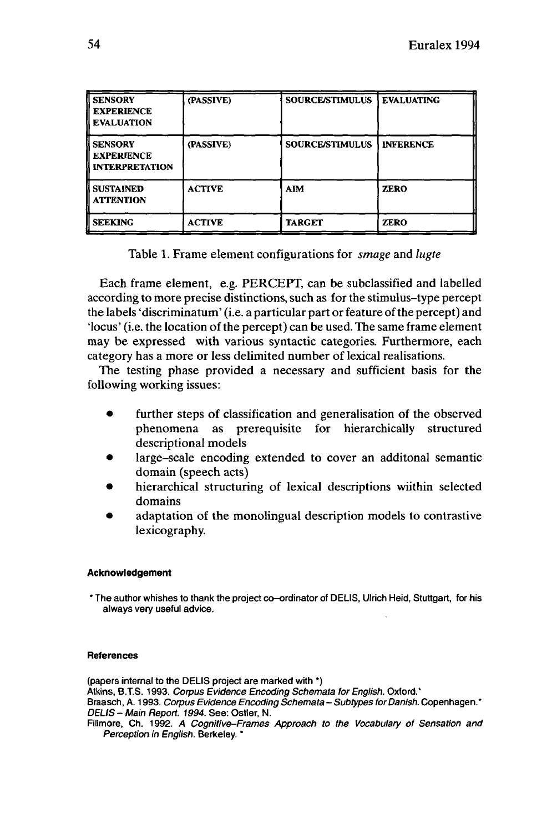| II SENSORY<br><b>EXPERIENCE</b><br><b>EVALUATION</b>         | (PASSIVE)     | <b>SOURCE/STIMULUS</b> | <b>EVALUATING</b> |
|--------------------------------------------------------------|---------------|------------------------|-------------------|
| <b>SENSORY</b><br><b>EXPERIENCE</b><br><b>INTERPRETATION</b> | (PASSIVE)     | <b>SOURCE/STIMULUS</b> | <b>INFERENCE</b>  |
| <b>SUSTAINED</b><br><b>ATTENTION</b>                         | <b>ACTIVE</b> | <b>AIM</b>             | <b>ZERO</b>       |
| <b>SEEKING</b>                                               | <b>ACTIVE</b> | <b>TARGET</b>          | <b>ZERO</b>       |

Table 1. Frame element configurations for *smage* and *lugte*

Each frame element, e.g. PERCEPT, can be subclassified and labelled according to more precise distinctions, such as for the stimulus-type percept the labels 'discriminatum' (i.e. a particular part or feature of the percept) and 'locus' (i.e. the location of the percept) can be used. The same frame element may be expressed with various syntactic categories. Furthermore, each category has a more or less delimited number of lexical realisations.

The testing phase provided a necessary and sufficient basis for the following working issues:

- further steps of classification and generalisation of the observed phenomena as prerequisite for hierarchically structured descriptional models
- large-scale encoding extended to cover an additonal semantic domain (speech acts)
- hierarchical structuring of lexical descriptions wiithin selected domains
- adaptation of the monolingual description models to contrastive lexicography.

## **Acknowledgement**

\* The author whishes to thank the project co•ordinator of DELIS, Ulrich Heid, Stuttgart, for his always very useful advice.

#### **References**

(papers internal to the DELIS project are marked with \*) Atkins, B.T.S. 1993. Corpus Evidence Encoding Schemata for English. Oxford.\* Braasch, A. 1993. Corpus Evidence Encoding Schemata - Subtypes for Danish. Copenhagen.\* DELIS - Main Report. 1994. See: Ostler, N. Fillmore, Ch. 1992. A Cognitive-Frames Approach to the Vocabulary of Sensation and Perception in English. Berkeley. \*